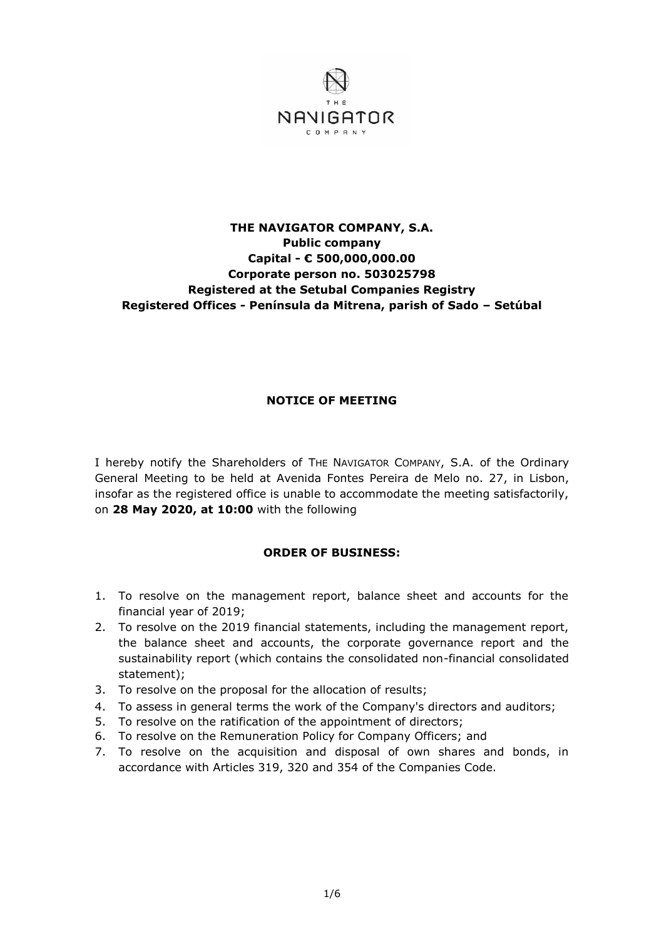

## **THE NAVIGATOR COMPANY, S.A. Public company Capital - € 500,000,000.00 Corporate person no. 503025798 Registered at the Setubal Companies Registry Registered Offices - Península da Mitrena, parish of Sado – Setúbal**

## **NOTICE OF MEETING**

I hereby notify the Shareholders of THE NAVIGATOR COMPANY, S.A. of the Ordinary General Meeting to be held at Avenida Fontes Pereira de Melo no. 27, in Lisbon, insofar as the registered office is unable to accommodate the meeting satisfactorily, on **28 May 2020, at 10:00** with the following

## **ORDER OF BUSINESS:**

- 1. To resolve on the management report, balance sheet and accounts for the financial year of 2019;
- 2. To resolve on the 2019 financial statements, including the management report, the balance sheet and accounts, the corporate governance report and the sustainability report (which contains the consolidated non-financial consolidated statement);
- 3. To resolve on the proposal for the allocation of results;
- 4. To assess in general terms the work of the Company's directors and auditors;
- 5. To resolve on the ratification of the appointment of directors;
- 6. To resolve on the Remuneration Policy for Company Officers; and
- 7. To resolve on the acquisition and disposal of own shares and bonds, in accordance with Articles 319, 320 and 354 of the Companies Code.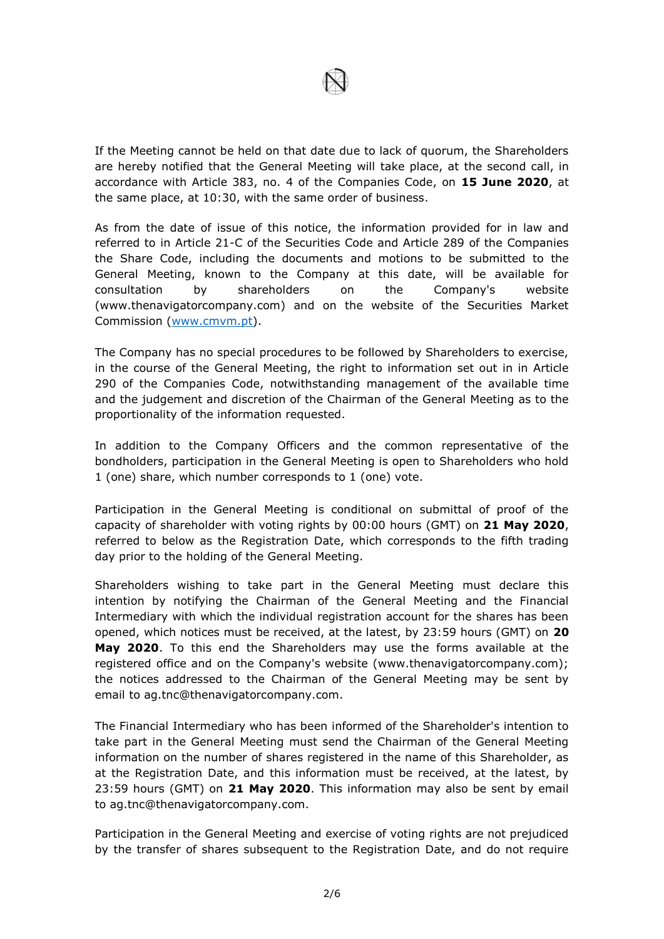

If the Meeting cannot be held on that date due to lack of quorum, the Shareholders are hereby notified that the General Meeting will take place, at the second call, in accordance with Article 383, no. 4 of the Companies Code, on **15 June 2020**, at the same place, at 10:30, with the same order of business.

As from the date of issue of this notice, the information provided for in law and referred to in Article 21-C of the Securities Code and Article 289 of the Companies the Share Code, including the documents and motions to be submitted to the General Meeting, known to the Company at this date, will be available for consultation by shareholders on the Company's website (www.thenavigatorcompany.com) and on the website of the Securities Market Commission [\(www.cmvm.pt\)](http://www.cmvm.pt/).

The Company has no special procedures to be followed by Shareholders to exercise, in the course of the General Meeting, the right to information set out in in Article 290 of the Companies Code, notwithstanding management of the available time and the judgement and discretion of the Chairman of the General Meeting as to the proportionality of the information requested.

In addition to the Company Officers and the common representative of the bondholders, participation in the General Meeting is open to Shareholders who hold 1 (one) share, which number corresponds to 1 (one) vote.

Participation in the General Meeting is conditional on submittal of proof of the capacity of shareholder with voting rights by 00:00 hours (GMT) on **21 May 2020**, referred to below as the Registration Date, which corresponds to the fifth trading day prior to the holding of the General Meeting.

Shareholders wishing to take part in the General Meeting must declare this intention by notifying the Chairman of the General Meeting and the Financial Intermediary with which the individual registration account for the shares has been opened, which notices must be received, at the latest, by 23:59 hours (GMT) on **20 May 2020**. To this end the Shareholders may use the forms available at the registered office and on the Company's website (www.thenavigatorcompany.com); the notices addressed to the Chairman of the General Meeting may be sent by email to ag.tnc@thenavigatorcompany.com.

The Financial Intermediary who has been informed of the Shareholder's intention to take part in the General Meeting must send the Chairman of the General Meeting information on the number of shares registered in the name of this Shareholder, as at the Registration Date, and this information must be received, at the latest, by 23:59 hours (GMT) on **21 May 2020**. This information may also be sent by email to ag.tnc@thenavigatorcompany.com.

Participation in the General Meeting and exercise of voting rights are not prejudiced by the transfer of shares subsequent to the Registration Date, and do not require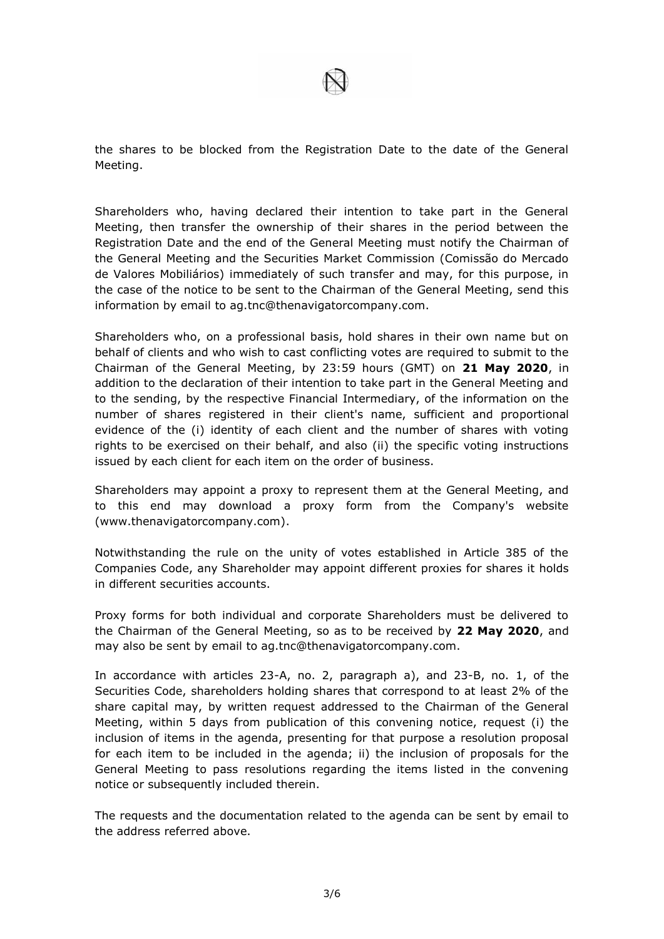the shares to be blocked from the Registration Date to the date of the General Meeting.

Shareholders who, having declared their intention to take part in the General Meeting, then transfer the ownership of their shares in the period between the Registration Date and the end of the General Meeting must notify the Chairman of the General Meeting and the Securities Market Commission (Comissão do Mercado de Valores Mobiliários) immediately of such transfer and may, for this purpose, in the case of the notice to be sent to the Chairman of the General Meeting, send this information by email to ag.tnc@thenavigatorcompany.com.

Shareholders who, on a professional basis, hold shares in their own name but on behalf of clients and who wish to cast conflicting votes are required to submit to the Chairman of the General Meeting, by 23:59 hours (GMT) on **21 May 2020**, in addition to the declaration of their intention to take part in the General Meeting and to the sending, by the respective Financial Intermediary, of the information on the number of shares registered in their client's name, sufficient and proportional evidence of the (i) identity of each client and the number of shares with voting rights to be exercised on their behalf, and also (ii) the specific voting instructions issued by each client for each item on the order of business.

Shareholders may appoint a proxy to represent them at the General Meeting, and to this end may download a proxy form from the Company's website (www.thenavigatorcompany.com).

Notwithstanding the rule on the unity of votes established in Article 385 of the Companies Code, any Shareholder may appoint different proxies for shares it holds in different securities accounts.

Proxy forms for both individual and corporate Shareholders must be delivered to the Chairman of the General Meeting, so as to be received by **22 May 2020**, and may also be sent by email to ag.tnc@thenavigatorcompany.com.

In accordance with articles 23-A, no. 2, paragraph a), and 23-B, no. 1, of the Securities Code, shareholders holding shares that correspond to at least 2% of the share capital may, by written request addressed to the Chairman of the General Meeting, within 5 days from publication of this convening notice, request (i) the inclusion of items in the agenda, presenting for that purpose a resolution proposal for each item to be included in the agenda; ii) the inclusion of proposals for the General Meeting to pass resolutions regarding the items listed in the convening notice or subsequently included therein.

The requests and the documentation related to the agenda can be sent by email to the address referred above.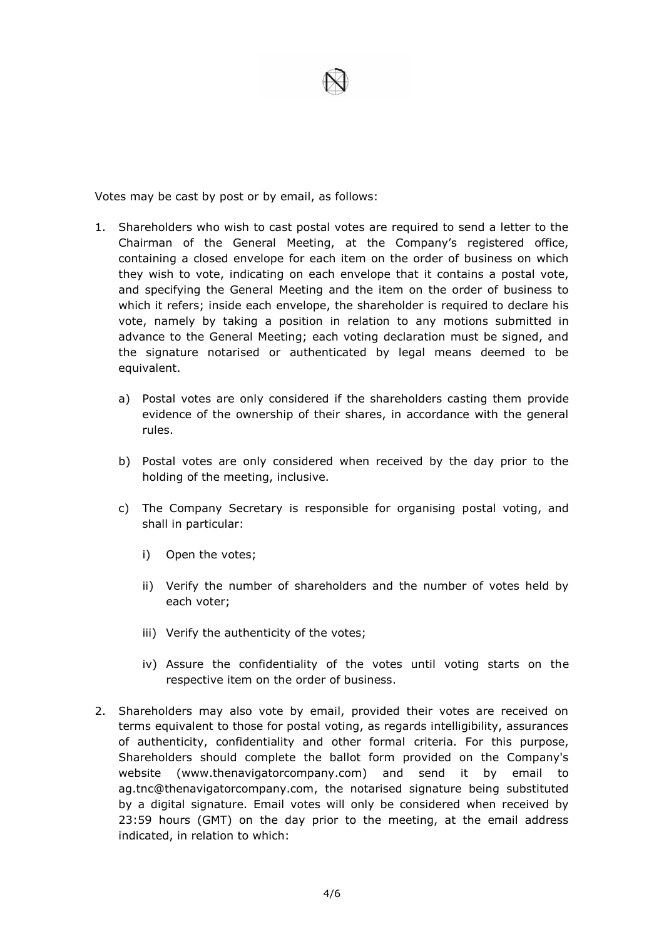

Votes may be cast by post or by email, as follows:

- 1. Shareholders who wish to cast postal votes are required to send a letter to the Chairman of the General Meeting, at the Company's registered office, containing a closed envelope for each item on the order of business on which they wish to vote, indicating on each envelope that it contains a postal vote, and specifying the General Meeting and the item on the order of business to which it refers; inside each envelope, the shareholder is required to declare his vote, namely by taking a position in relation to any motions submitted in advance to the General Meeting; each voting declaration must be signed, and the signature notarised or authenticated by legal means deemed to be equivalent.
	- a) Postal votes are only considered if the shareholders casting them provide evidence of the ownership of their shares, in accordance with the general rules.
	- b) Postal votes are only considered when received by the day prior to the holding of the meeting, inclusive.
	- c) The Company Secretary is responsible for organising postal voting, and shall in particular:
		- i) Open the votes;
		- ii) Verify the number of shareholders and the number of votes held by each voter;
		- iii) Verify the authenticity of the votes;
		- iv) Assure the confidentiality of the votes until voting starts on the respective item on the order of business.
- 2. Shareholders may also vote by email, provided their votes are received on terms equivalent to those for postal voting, as regards intelligibility, assurances of authenticity, confidentiality and other formal criteria. For this purpose, Shareholders should complete the ballot form provided on the Company's website (www.thenavigatorcompany.com) and send it by email to ag.tnc@thenavigatorcompany.com, the notarised signature being substituted by a digital signature. Email votes will only be considered when received by 23:59 hours (GMT) on the day prior to the meeting, at the email address indicated, in relation to which: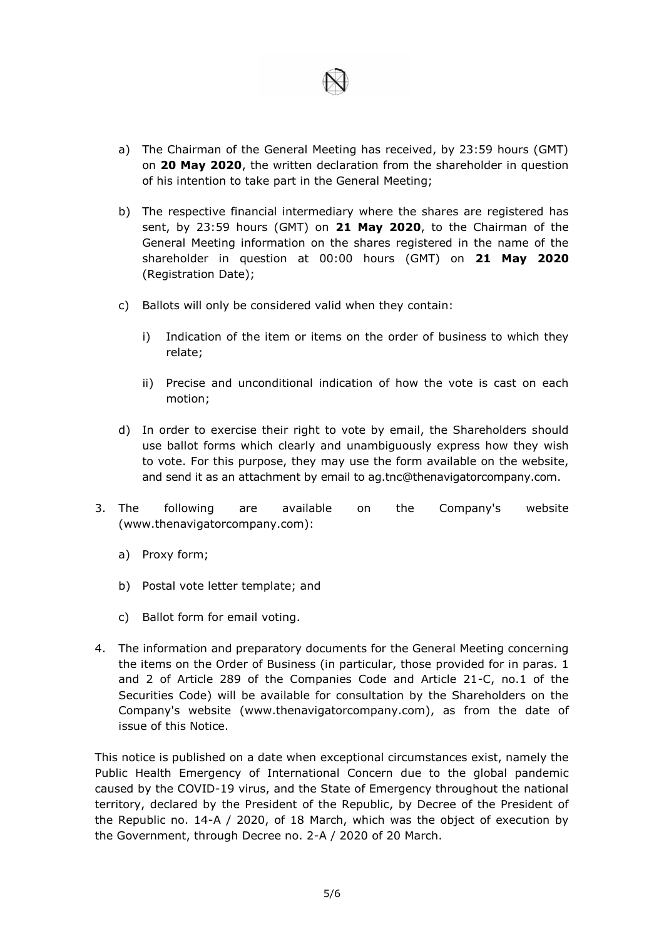

- a) The Chairman of the General Meeting has received, by 23:59 hours (GMT) on **20 May 2020**, the written declaration from the shareholder in question of his intention to take part in the General Meeting;
- b) The respective financial intermediary where the shares are registered has sent, by 23:59 hours (GMT) on **21 May 2020**, to the Chairman of the General Meeting information on the shares registered in the name of the shareholder in question at 00:00 hours (GMT) on **21 May 2020**  (Registration Date);
- c) Ballots will only be considered valid when they contain:
	- i) Indication of the item or items on the order of business to which they relate;
	- ii) Precise and unconditional indication of how the vote is cast on each motion;
- d) In order to exercise their right to vote by email, the Shareholders should use ballot forms which clearly and unambiguously express how they wish to vote. For this purpose, they may use the form available on the website, and send it as an attachment by email to ag.tnc@thenavigatorcompany.com.
- 3. The following are available on the Company's website (www.thenavigatorcompany.com):
	- a) Proxy form;
	- b) Postal vote letter template; and
	- c) Ballot form for email voting.
- 4. The information and preparatory documents for the General Meeting concerning the items on the Order of Business (in particular, those provided for in paras. 1 and 2 of Article 289 of the Companies Code and Article 21-C, no.1 of the Securities Code) will be available for consultation by the Shareholders on the Company's website (www.thenavigatorcompany.com), as from the date of issue of this Notice.

This notice is published on a date when exceptional circumstances exist, namely the Public Health Emergency of International Concern due to the global pandemic caused by the COVID-19 virus, and the State of Emergency throughout the national territory, declared by the President of the Republic, by Decree of the President of the Republic no. 14-A / 2020, of 18 March, which was the object of execution by the Government, through Decree no. 2-A / 2020 of 20 March.